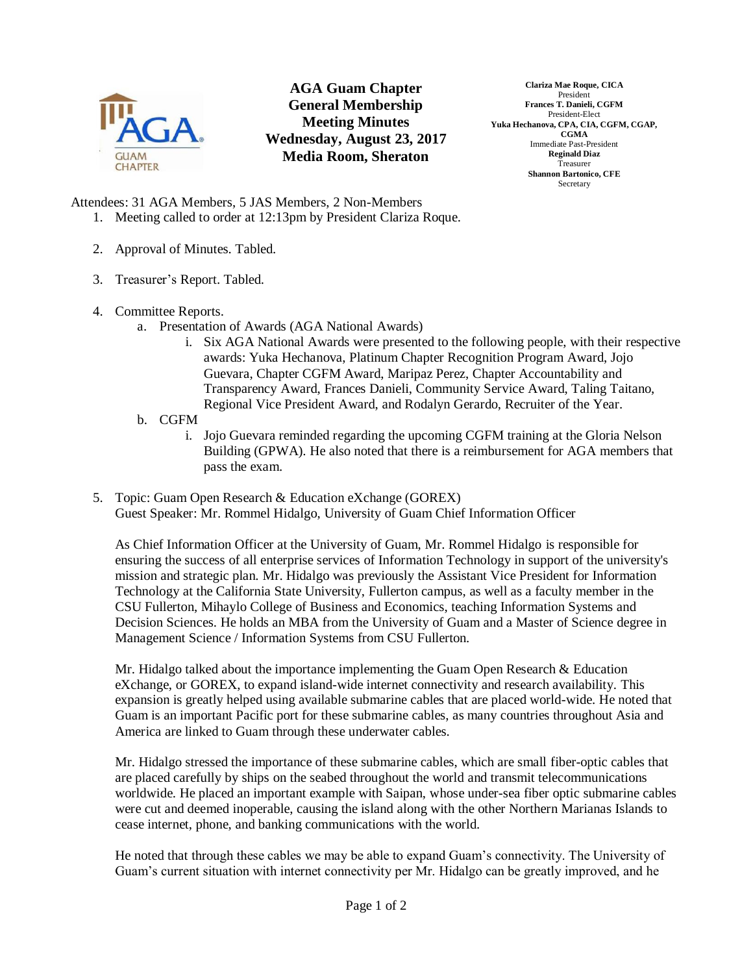

## **AGA Guam Chapter General Membership Meeting Minutes Wednesday, August 23, 2017 Media Room, Sheraton**

**Clariza Mae Roque, CICA** President **Frances T. Danieli, CGFM** President-Elect **Yuka Hechanova, CPA, CIA, CGFM, CGAP, CGMA** Immediate Past-President **Reginald Diaz** Treasurer **Shannon Bartonico, CFE** Secretary

Attendees: 31 AGA Members, 5 JAS Members, 2 Non-Members

- 1. Meeting called to order at 12:13pm by President Clariza Roque.
- 2. Approval of Minutes. Tabled.
- 3. Treasurer's Report. Tabled.
- 4. Committee Reports.
	- a. Presentation of Awards (AGA National Awards)
		- i. Six AGA National Awards were presented to the following people, with their respective awards: Yuka Hechanova, Platinum Chapter Recognition Program Award, Jojo Guevara, Chapter CGFM Award, Maripaz Perez, Chapter Accountability and Transparency Award, Frances Danieli, Community Service Award, Taling Taitano, Regional Vice President Award, and Rodalyn Gerardo, Recruiter of the Year.
	- b. CGFM
		- i. Jojo Guevara reminded regarding the upcoming CGFM training at the Gloria Nelson Building (GPWA). He also noted that there is a reimbursement for AGA members that pass the exam.
- 5. Topic: Guam Open Research & Education eXchange (GOREX) Guest Speaker: Mr. Rommel Hidalgo, University of Guam Chief Information Officer

As Chief Information Officer at the University of Guam, Mr. Rommel Hidalgo is responsible for ensuring the success of all enterprise services of Information Technology in support of the university's mission and strategic plan. Mr. Hidalgo was previously the Assistant Vice President for Information Technology at the California State University, Fullerton campus, as well as a faculty member in the CSU Fullerton, Mihaylo College of Business and Economics, teaching Information Systems and Decision Sciences. He holds an MBA from the University of Guam and a Master of Science degree in Management Science / Information Systems from CSU Fullerton.

Mr. Hidalgo talked about the importance implementing the Guam Open Research & Education eXchange, or GOREX, to expand island-wide internet connectivity and research availability. This expansion is greatly helped using available submarine cables that are placed world-wide. He noted that Guam is an important Pacific port for these submarine cables, as many countries throughout Asia and America are linked to Guam through these underwater cables.

Mr. Hidalgo stressed the importance of these submarine cables, which are small fiber-optic cables that are placed carefully by ships on the seabed throughout the world and transmit telecommunications worldwide. He placed an important example with Saipan, whose under-sea fiber optic submarine cables were cut and deemed inoperable, causing the island along with the other Northern Marianas Islands to cease internet, phone, and banking communications with the world.

He noted that through these cables we may be able to expand Guam's connectivity. The University of Guam's current situation with internet connectivity per Mr. Hidalgo can be greatly improved, and he